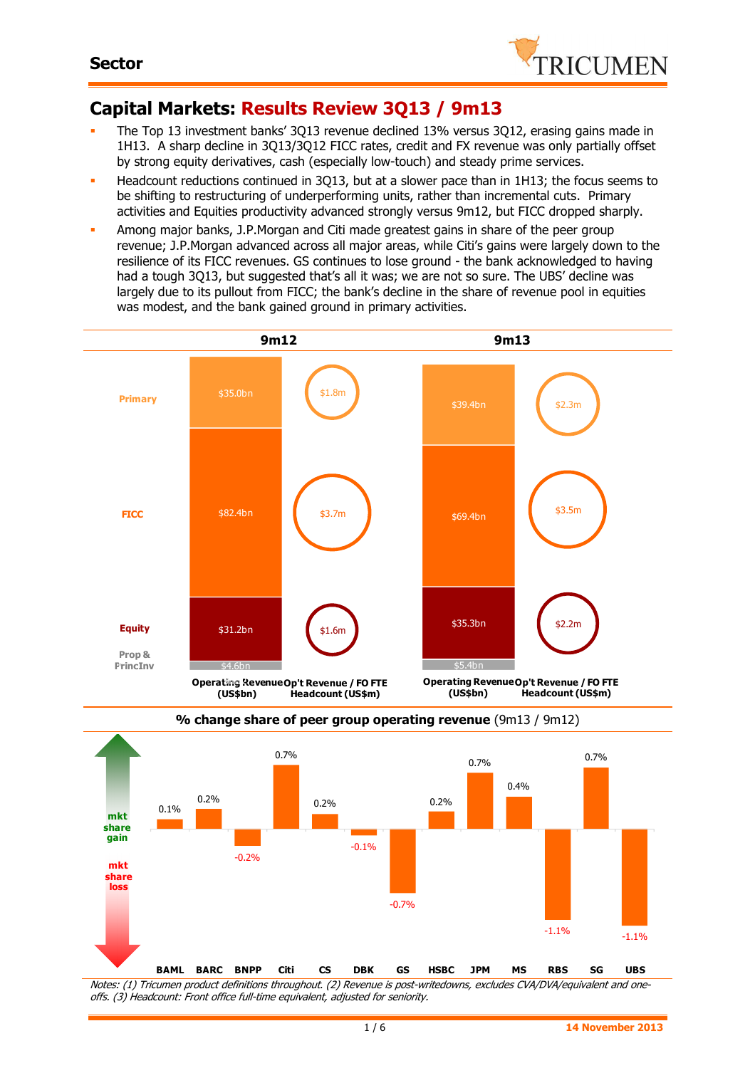

# **Capital Markets: Results Review 3Q13 / 9m13**

- The Top 13 investment banks' 3Q13 revenue declined 13% versus 3Q12, erasing gains made in 1H13. A sharp decline in 3Q13/3Q12 FICC rates, credit and FX revenue was only partially offset by strong equity derivatives, cash (especially low-touch) and steady prime services.
- Headcount reductions continued in 3Q13, but at a slower pace than in 1H13; the focus seems to be shifting to restructuring of underperforming units, rather than incremental cuts. Primary activities and Equities productivity advanced strongly versus 9m12, but FICC dropped sharply.
- Among major banks, J.P.Morgan and Citi made greatest gains in share of the peer group revenue; J.P.Morgan advanced across all major areas, while Citi's gains were largely down to the resilience of its FICC revenues. GS continues to lose ground - the bank acknowledged to having had a tough 3O13, but suggested that's all it was; we are not so sure. The UBS' decline was largely due to its pullout from FICC; the bank's decline in the share of revenue pool in equities was modest, and the bank gained ground in primary activities.





**% change share of peer group operating revenue** (9m13 / 9m12)

Notes: (1) Tricumen product definitions throughout. (2) Revenue is post-writedowns, excludes CVA/DVA/equivalent and oneoffs. (3) Headcount: Front office full-time equivalent, adjusted for seniority.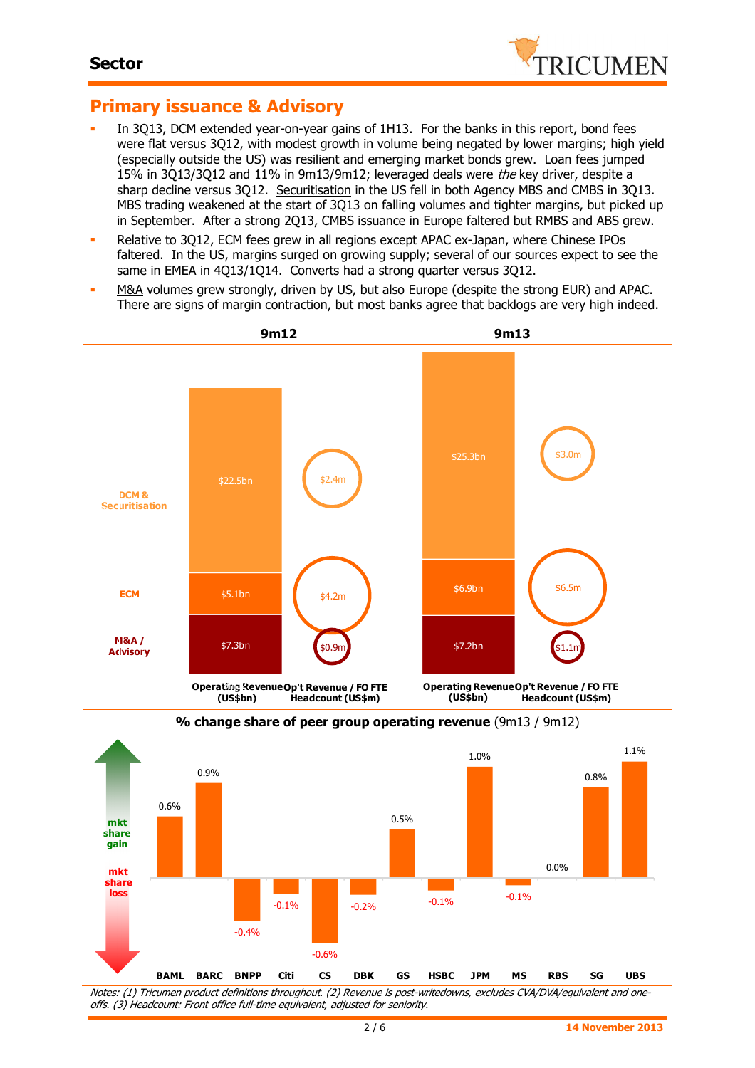

# **Primary issuance & Advisory**

- In 3Q13, DCM extended year-on-year gains of 1H13. For the banks in this report, bond fees were flat versus 3Q12, with modest growth in volume being negated by lower margins; high yield (especially outside the US) was resilient and emerging market bonds grew. Loan fees jumped 15% in 3Q13/3Q12 and 11% in 9m13/9m12; leveraged deals were the key driver, despite a sharp decline versus 3Q12. Securitisation in the US fell in both Agency MBS and CMBS in 3Q13. MBS trading weakened at the start of 3Q13 on falling volumes and tighter margins, but picked up in September. After a strong 2Q13, CMBS issuance in Europe faltered but RMBS and ABS grew.
- Relative to 3Q12, ECM fees grew in all regions except APAC ex-Japan, where Chinese IPOs faltered. In the US, margins surged on growing supply; several of our sources expect to see the same in EMEA in 4Q13/1Q14. Converts had a strong quarter versus 3Q12.
- M&A volumes grew strongly, driven by US, but also Europe (despite the strong EUR) and APAC. There are signs of margin contraction, but most banks agree that backlogs are very high indeed.



Notes: (1) Tricumen product definitions throughout. (2) Revenue is post-writedowns, excludes CVA/DVA/equivalent and oneoffs. (3) Headcount: Front office full-time equivalent, adjusted for seniority.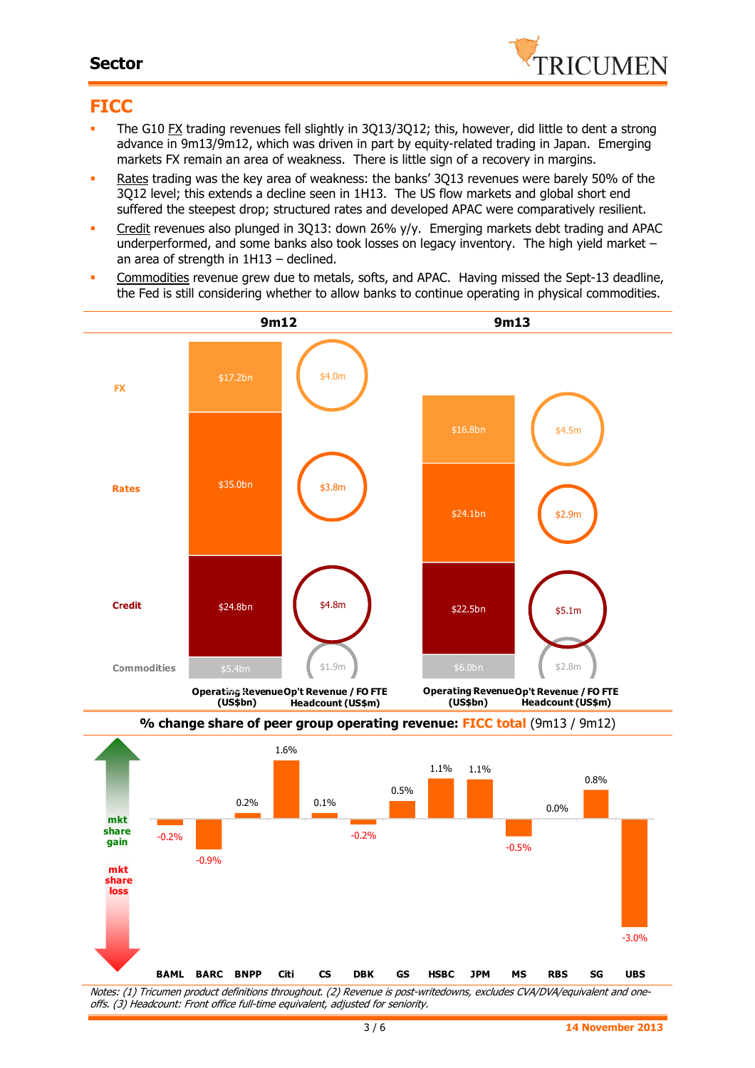#### **Sector**



### **FICC**

- The G10 FX trading revenues fell slightly in 3Q13/3Q12; this, however, did little to dent a strong advance in 9m13/9m12, which was driven in part by equity-related trading in Japan. Emerging markets FX remain an area of weakness. There is little sign of a recovery in margins.
- Rates trading was the key area of weakness: the banks' 3Q13 revenues were barely 50% of the 3Q12 level; this extends a decline seen in 1H13. The US flow markets and global short end suffered the steepest drop; structured rates and developed APAC were comparatively resilient.
- Credit revenues also plunged in 3Q13: down 26% y/y. Emerging markets debt trading and APAC underperformed, and some banks also took losses on legacy inventory. The high yield market – an area of strength in 1H13 – declined.
- Commodities revenue grew due to metals, softs, and APAC. Having missed the Sept-13 deadline, the Fed is still considering whether to allow banks to continue operating in physical commodities.

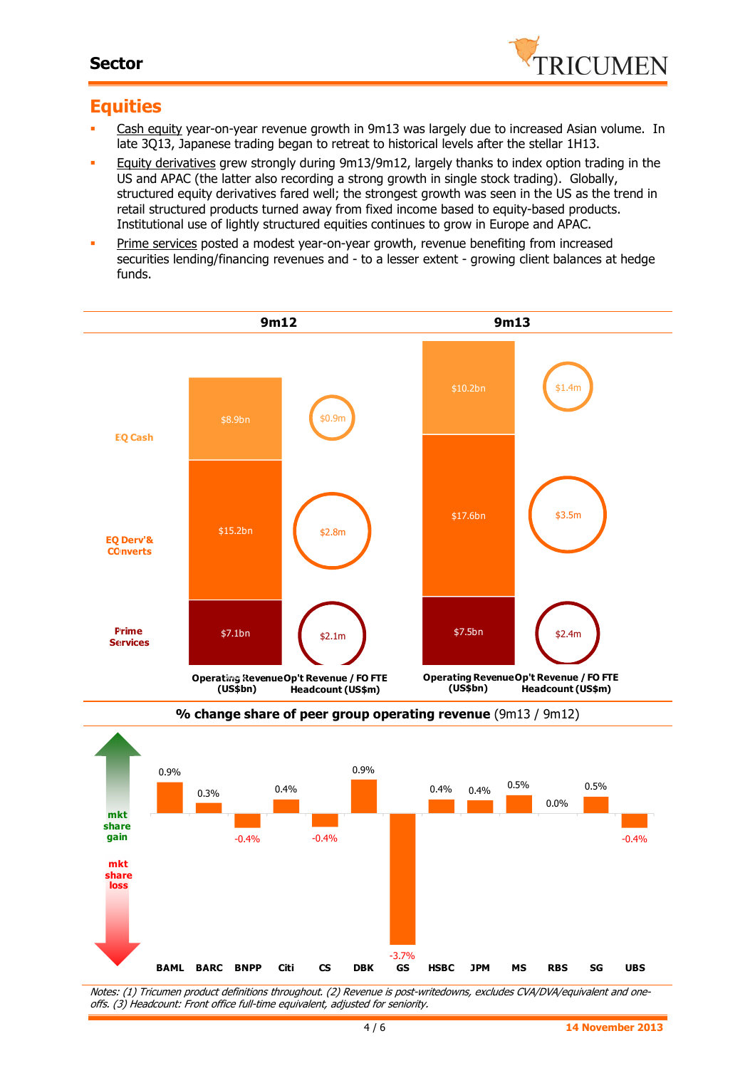### **Sector**



## **Equities**

- Cash equity year-on-year revenue growth in 9m13 was largely due to increased Asian volume. In late 3Q13, Japanese trading began to retreat to historical levels after the stellar 1H13.
- Equity derivatives grew strongly during 9m13/9m12, largely thanks to index option trading in the US and APAC (the latter also recording a strong growth in single stock trading). Globally, structured equity derivatives fared well; the strongest growth was seen in the US as the trend in retail structured products turned away from fixed income based to equity-based products. Institutional use of lightly structured equities continues to grow in Europe and APAC.
- **Prime services posted a modest year-on-year growth, revenue benefiting from increased** securities lending/financing revenues and - to a lesser extent - growing client balances at hedge funds.





Notes: (1) Tricumen product definitions throughout. (2) Revenue is post-writedowns, excludes CVA/DVA/equivalent and oneoffs. (3) Headcount: Front office full-time equivalent, adjusted for seniority.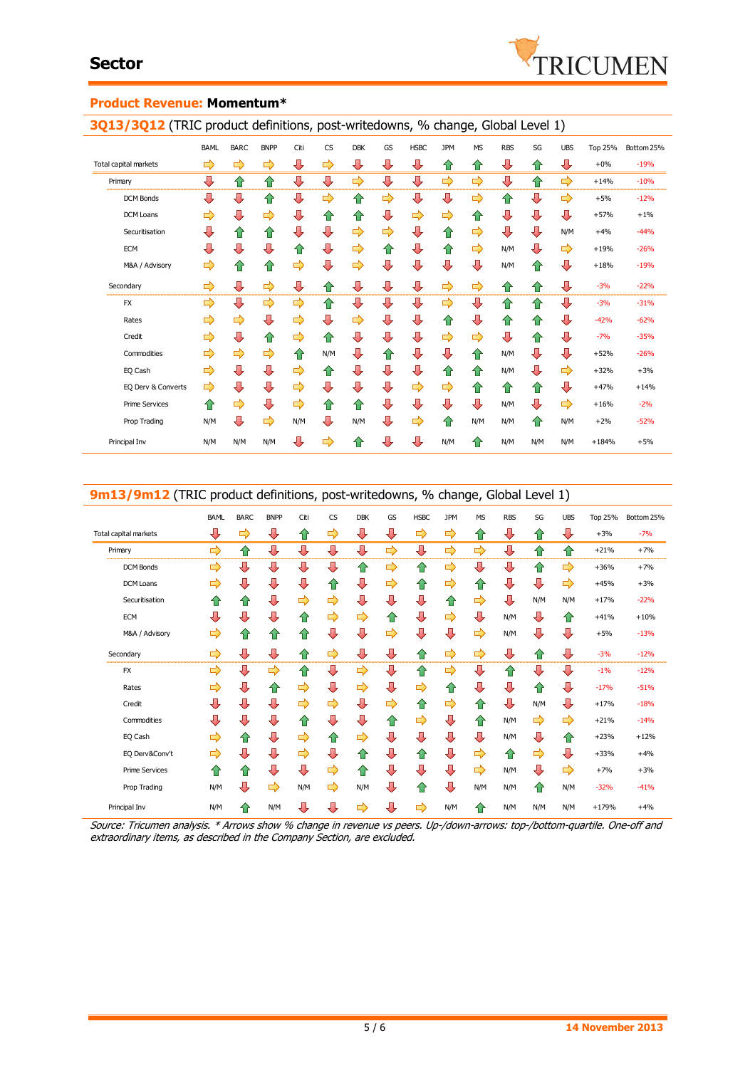

#### **Product Revenue: Momentum\***

**3Q13/3Q12** (TRIC product definitions, post-writedowns, % change, Global Level 1)

|                       | <b>BAML</b>   | <b>BARC</b> | <b>BNPP</b> | Citi | CS  | <b>DBK</b> | GS | <b>HSBC</b>             | <b>JPM</b> | <b>MS</b> | <b>RBS</b> | SG  | <b>UBS</b> | <b>Top 25%</b> | Bottom 25% |
|-----------------------|---------------|-------------|-------------|------|-----|------------|----|-------------------------|------------|-----------|------------|-----|------------|----------------|------------|
| Total capital markets | ⇨             | ⇨           | ⇨           | ⊕    | ⇨   | ⊕          | ⊕  | ⇩                       | ⇧          | ⇧         | ⇩          | ⇧   | ⊕          | $+0\%$         | $-19%$     |
| Primary               | ⊕             | ⇧           | ⇧           | ⇩    | ⊕   | ⇨          | ⇩  | ⇩                       | ⇨          | ⇨         | ⇩          | ⇧   | ⇨          | $+14%$         | $-10%$     |
| <b>DCM Bonds</b>      | ⇩             | ⊕           | ⇧           | ⇩    | ⇨   | ⇧          | ⇨  | ⊕                       | ⊕          | ⇨         | ⇧          | ⊕   | ⇨          | $+5%$          | $-12%$     |
| DCM Loans             | ⇨             | ⊕           | ⇨           | ⇩    | ⇮   | ⇧          | ⊕  | ⇨                       | ⇨          | ⇧         | ⊕          | ⊕   | ⊕          | $+57%$         | $+1%$      |
| Securitisation        | ⇩             | ✿           | ⇧           | ⇩    | ⊕   | ⇨          | ⇨  | ⊕                       | ⇧          | ⇨         | ⊕          | ⊕   | N/M        | $+4%$          | $-44%$     |
| <b>ECM</b>            | ⊕             | ⊕           | ⇩           | ⇧    | ⊕   | ⇨          | ⇮  | ⊕                       | ⇧          | ⇨         | N/M        | ⇩   | ⇨          | $+19%$         | $-26%$     |
| M&A / Advisory        | ⇨             | ⇑           | ⇑           | ⇨    | ⇩   | ⇨          | ⊕  | ⊕                       | ⇩          | ⇩         | N/M        | ⇧   | ⊕          | $+18%$         | $-19%$     |
| Secondary             | ⇨             | ⊕           | ⇨           | ⇩    | ⇮   | ⊕          | ⇩  | $\overline{\mathbf{v}}$ | ⇨          | ⇨         | ⇧          | ⇧   | ⊕          | $-3%$          | $-22%$     |
| <b>FX</b>             | ⇨             | ⊕           | ⇨           | ⇨    | 合   | ⊕          | ⇩  | ⊕                       | ⇨          | ⊕         | 合          | 合   | ⊕          | $-3%$          | $-31%$     |
| Rates                 | ⇨             | ⇨           | ⇩           | ⇨    | ⊕   | ⇨          | ⊕  | ⊕                       | ⇧          | ⊕         | ⇑          | ⇧   | ⇩          | $-42%$         | $-62%$     |
| Credit                | ⇨             | J           | ⇧           | ⇨    | ⇮   | ⇩          | ⊕  | ⊕                       | ⇨          | ⇨         | ⊕          | ⇧   | ⇩          | $-7%$          | $-35%$     |
| Commodities           | $\Rightarrow$ | ⇨           | ⇨           | ⇑    | N/M | ⇩          | ⇑  | ⊕                       | ⊕          | ⇑         | N/M        | ⇩   | ⊕          | $+52%$         | $-26%$     |
| EQ Cash               | ⇨             | ⊕           | ⇩           | ⇨    | ⇮   | ⇩          | ⊕  | ⊕                       | ⇮          | ⇧         | N/M        | ⇩   | ⇨          | $+32%$         | $+3%$      |
| EQ Derv & Converts    | ⇨             | ⊕           | ⇩           | ⇨    | ⊕   | ⇩          | ⇩  | ⇨                       | ⇨          | 合         | ⇧          | ⇧   | ⊕          | $+47%$         | $+14%$     |
| <b>Prime Services</b> | ⇑             | ⇨           | ⇩           | ⇨    | ⇧   | ⇑          | ⇩  | ⇩                       | ⇩          | ⊕         | N/M        | ⇩   | ⇨          | $+16%$         | $-2%$      |
| Prop Trading          | N/M           | ⊕           | ⇨           | N/M  | ⊕   | N/M        | ⊕  | ⇨                       | ⇧          | N/M       | N/M        | ⇧   | N/M        | $+2%$          | $-52%$     |
| Principal Inv         | N/M           | N/M         | N/M         | ⇩    | ⇨   | $\hat{v}$  | ⊕  | ⊕                       | N/M        | ⇑         | N/M        | N/M | N/M        | $+184%$        | $+5%$      |

| 9m13/9m12 (TRIC product definitions, post-writedowns, % change, Global Level 1) |             |             |             |      |           |            |    |             |            |           |            |     |                         |                |            |
|---------------------------------------------------------------------------------|-------------|-------------|-------------|------|-----------|------------|----|-------------|------------|-----------|------------|-----|-------------------------|----------------|------------|
|                                                                                 | <b>BAML</b> | <b>BARC</b> | <b>BNPP</b> | Citi | <b>CS</b> | <b>DBK</b> | GS | <b>HSBC</b> | <b>JPM</b> | <b>MS</b> | <b>RBS</b> | SG  | <b>UBS</b>              | <b>Top 25%</b> | Bottom 25% |
| Total capital markets                                                           | ⊕           | ⇨           | ⊕           | ⇧    | ⇨         | ⊕          | ⊕  | ⇨           | ⇨          | ⇧         | ⇩          | ⇑   | ⊕                       | $+3%$          | $-7%$      |
| Primary                                                                         | ⇨           | ⇧           | ⊕           | ⇩    | ⊕         | ⇩          | ⇨  | ⊕           | ⇨          | ⇨         | ⊕          | ⇧   | ⇧                       | $+21%$         | $+7%$      |
| <b>DCM Bonds</b>                                                                | ⇨           | ⊕           | ⊕           | ⇩    | ⇩         | ⇧          | ⇨  | ⇧           | ⇨          | ⊕         | ⊕          | ⇧   | ⇨                       | $+36%$         | $+7%$      |
| <b>DCM Loans</b>                                                                | ⇨           | ⊕           | ⊕           | ⇩    | 仆         | ⊕          | ⇨  | 仆           | ⇨          | ⇧         | ⇩          | ⊕   | $\Rightarrow$           | $+45%$         | $+3%$      |
| Securitisation                                                                  | ⇑           | ⇧           | ⊕           | ⇨    | ⇨         | ⇩          | ⇩  | ⊕           | ⇧          | ⇨         | ⊕          | N/M | N/M                     | $+17%$         | $-22%$     |
| ECM                                                                             | ⇩           | ⇩           | ⇩           | ⇑    | ⇨         | ⇨          | 仆  | ⊕           | ⇨          | ⊕         | N/M        | ⇩   | ⇑                       | $+41%$         | $+10%$     |
| M&A / Advisory                                                                  | ⇨           | ⇧           | ⇑           | ⇮    | ⇩         | ⇩          | ⇨  | ⇩           | ⇩          | ⇨         | N/M        | ⇩   | ⊕                       | $+5%$          | $-13%$     |
| Secondary                                                                       | ⇨           | ⊕           | ⊕           | ⇧    | ⇨         | ⊕          | ⊕  | ⇧           | ⇨          | ⇨         | ⊕          | ⇧   | ⊕                       | $-3%$          | $-12%$     |
| <b>FX</b>                                                                       | ⇨           | ⇩           | ⇨           | ⇧    | ⇩         | ⇨          | ⇩  | ⇧           | ⇨          | ⊕         | ⇧          | ⊕   | ⊕                       | $-1%$          | $-12%$     |
| Rates                                                                           | ⇨           | ⊕           | ⇧           | ⇨    | ⊕         | ⇨          | ⊕  | ⇨           | ⇑          | ⇩         | ⇩          | ✿   | ⊕                       | $-17%$         | $-51%$     |
| Credit                                                                          | ⊕           | ⊕           | ⇩           | ⇨    | ⇨         | ⊕          | ⇨  | 企           | ⇨          | ⇧         | ⇩          | N/M | ⊕                       | $+17%$         | $-18%$     |
| Commodities                                                                     | ⇩           | ⇩           | ⇩           | ⇧    | ⊕         | ⊕          | ⇑  | ⇨           | ⇩          | ⇮         | N/M        | ⇨   | ⇨                       | $+21%$         | $-14%$     |
| EQ Cash                                                                         | ⇨           | ⇧           | ⊕           | ⇨    | ⇑         | ⇨          | ⊕  | ⇩           | ⇩          | ⊕         | N/M        | ⊕   | ⇑                       | $+23%$         | $+12%$     |
| EQ Derv&Conv't                                                                  | ⇨           | ⊕           | ⊕           | ⇨    | ⊕         | ⇑          | ⊕  | 11          | ⊕          | ⇨         | ⇧          | ⇨   | $\overline{\mathbf{u}}$ | $+33%$         | $+4%$      |
| <b>Prime Services</b>                                                           | ⇑           | ⇧           | ⊕           | ⊕    | ⇨         | ⇑          | ⇩  | ⇩           | ⊕          | ⇨         | N/M        | ⊕   | ⇨                       | $+7%$          | $+3%$      |
| Prop Trading                                                                    | N/M         | ⊕           | ⇨           | N/M  | ⇨         | N/M        | ⊕  | ⇑           | ⇩          | N/M       | N/M        | ⇮   | N/M                     | $-32%$         | $-41%$     |
| Principal Inv                                                                   | N/M         | ⇑           | N/M         | ⊕    | ⇩         | ⇨          | ⇩  | ⇨           | N/M        | ⇑         | N/M        | N/M | N/M                     | $+179%$        | $+4%$      |

Source: Tricumen analysis. \* Arrows show % change in revenue vs peers. Up-/down-arrows: top-/bottom-quartile. One-off and extraordinary items, as described in the Company Section, are excluded.